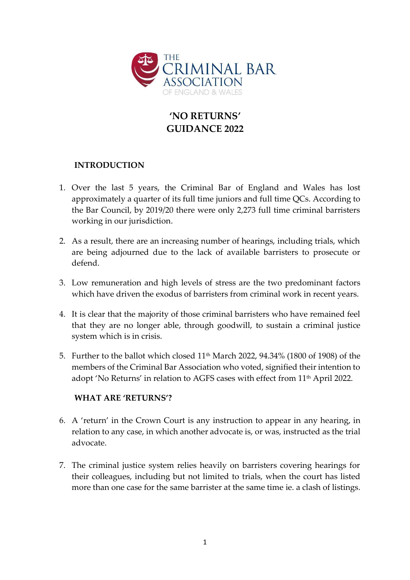

# **'NO RETURNS' GUIDANCE 2022**

### **INTRODUCTION**

- 1. Over the last 5 years, the Criminal Bar of England and Wales has lost approximately a quarter of its full time juniors and full time QCs. According to the Bar Council, by 2019/20 there were only 2,273 full time criminal barristers working in our jurisdiction.
- 2. As a result, there are an increasing number of hearings, including trials, which are being adjourned due to the lack of available barristers to prosecute or defend.
- 3. Low remuneration and high levels of stress are the two predominant factors which have driven the exodus of barristers from criminal work in recent years.
- 4. It is clear that the majority of those criminal barristers who have remained feel that they are no longer able, through goodwill, to sustain a criminal justice system which is in crisis.
- 5. Further to the ballot which closed  $11<sup>th</sup>$  March 2022, 94.34% (1800 of 1908) of the members of the Criminal Bar Association who voted, signified their intention to adopt 'No Returns' in relation to AGFS cases with effect from 11<sup>th</sup> April 2022.

### **WHAT ARE 'RETURNS'?**

- 6. A 'return' in the Crown Court is any instruction to appear in any hearing, in relation to any case, in which another advocate is, or was, instructed as the trial advocate.
- 7. The criminal justice system relies heavily on barristers covering hearings for their colleagues, including but not limited to trials, when the court has listed more than one case for the same barrister at the same time ie. a clash of listings.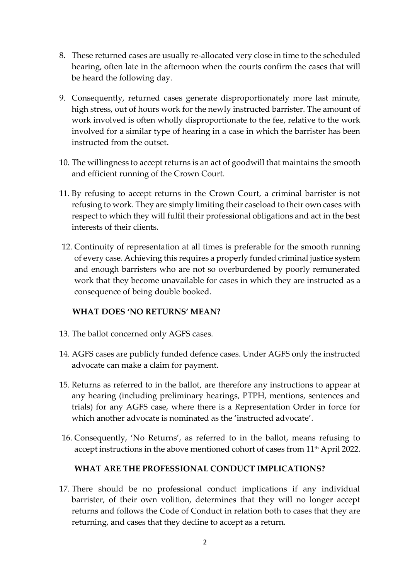- 8. These returned cases are usually re-allocated very close in time to the scheduled hearing, often late in the afternoon when the courts confirm the cases that will be heard the following day.
- 9. Consequently, returned cases generate disproportionately more last minute, high stress, out of hours work for the newly instructed barrister. The amount of work involved is often wholly disproportionate to the fee, relative to the work involved for a similar type of hearing in a case in which the barrister has been instructed from the outset.
- 10. The willingness to accept returns is an act of goodwill that maintains the smooth and efficient running of the Crown Court.
- 11. By refusing to accept returns in the Crown Court, a criminal barrister is not refusing to work. They are simply limiting their caseload to their own cases with respect to which they will fulfil their professional obligations and act in the best interests of their clients.
- 12. Continuity of representation at all times is preferable for the smooth running of every case. Achieving this requires a properly funded criminal justice system and enough barristers who are not so overburdened by poorly remunerated work that they become unavailable for cases in which they are instructed as a consequence of being double booked.

### **WHAT DOES 'NO RETURNS' MEAN?**

- 13. The ballot concerned only AGFS cases.
- 14. AGFS cases are publicly funded defence cases. Under AGFS only the instructed advocate can make a claim for payment.
- 15. Returns as referred to in the ballot, are therefore any instructions to appear at any hearing (including preliminary hearings, PTPH, mentions, sentences and trials) for any AGFS case, where there is a Representation Order in force for which another advocate is nominated as the 'instructed advocate'.
- 16. Consequently, 'No Returns', as referred to in the ballot, means refusing to accept instructions in the above mentioned cohort of cases from 11<sup>th</sup> April 2022.

### **WHAT ARE THE PROFESSIONAL CONDUCT IMPLICATIONS?**

17. There should be no professional conduct implications if any individual barrister, of their own volition, determines that they will no longer accept returns and follows the Code of Conduct in relation both to cases that they are returning, and cases that they decline to accept as a return.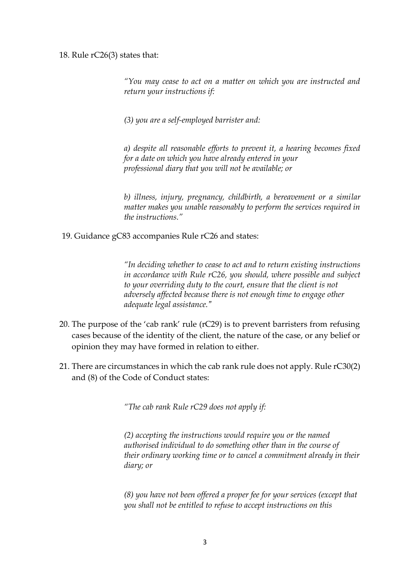#### 18. Rule rC26(3) states that:

*"You may cease to act on a matter on which you are instructed and return your instructions if:*

*(3) you are a self-employed barrister and:*

*a) despite all reasonable efforts to prevent it, a hearing becomes fixed for a date on which you have already entered in your professional diary that you will not be available; or*

*b) illness, injury, pregnancy, childbirth, a bereavement or a similar matter makes you unable reasonably to perform the services required in the instructions."*

19. Guidance gC83 accompanies Rule rC26 and states:

*"In deciding whether to cease to act and to return existing instructions in accordance with Rule rC26, you should, where possible and subject to your overriding duty to the court, ensure that the client is not adversely affected because there is not enough time to engage other adequate legal assistance."*

- 20. The purpose of the 'cab rank' rule (rC29) is to prevent barristers from refusing cases because of the identity of the client, the nature of the case, or any belief or opinion they may have formed in relation to either.
- 21. There are circumstances in which the cab rank rule does not apply. Rule rC30(2) and (8) of the Code of Conduct states:

*"The cab rank Rule rC29 does not apply if:* 

*(2) accepting the instructions would require you or the named authorised individual to do something other than in the course of their ordinary working time or to cancel a commitment already in their diary; or*

*(8) you have not been offered a proper fee for your services (except that you shall not be entitled to refuse to accept instructions on this*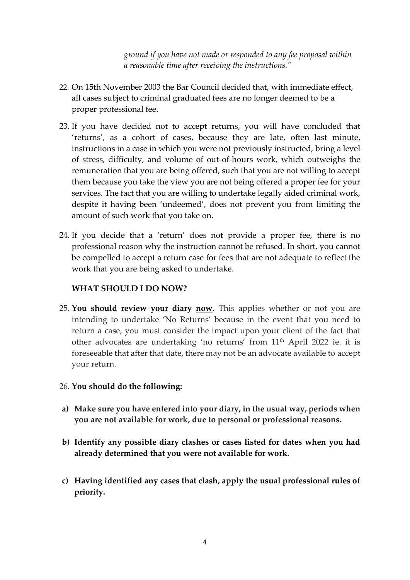*ground if you have not made or responded to any fee proposal within a reasonable time after receiving the instructions."*

- 22. On 15th November 2003 the Bar Council decided that, with immediate effect, all cases subject to criminal graduated fees are no longer deemed to be a proper professional fee.
- 23. If you have decided not to accept returns, you will have concluded that 'returns', as a cohort of cases, because they are late, often last minute, instructions in a case in which you were not previously instructed, bring a level of stress, difficulty, and volume of out-of-hours work, which outweighs the remuneration that you are being offered, such that you are not willing to accept them because you take the view you are not being offered a proper fee for your services. The fact that you are willing to undertake legally aided criminal work, despite it having been 'undeemed', does not prevent you from limiting the amount of such work that you take on.
- 24. If you decide that a 'return' does not provide a proper fee, there is no professional reason why the instruction cannot be refused. In short, you cannot be compelled to accept a return case for fees that are not adequate to reflect the work that you are being asked to undertake.

## **WHAT SHOULD I DO NOW?**

25. **You should review your diary now.** This applies whether or not you are intending to undertake 'No Returns' because in the event that you need to return a case, you must consider the impact upon your client of the fact that other advocates are undertaking 'no returns' from 11<sup>th</sup> April 2022 ie. it is foreseeable that after that date, there may not be an advocate available to accept your return.

### 26. **You should do the following:**

- **a) Make sure you have entered into your diary, in the usual way, periods when you are not available for work, due to personal or professional reasons.**
- **b) Identify any possible diary clashes or cases listed for dates when you had already determined that you were not available for work.**
- **c) Having identified any cases that clash, apply the usual professional rules of priority.**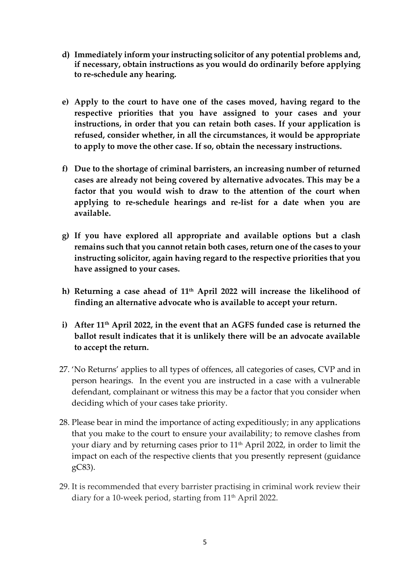- **d) Immediately inform your instructing solicitor of any potential problems and, if necessary, obtain instructions as you would do ordinarily before applying to re-schedule any hearing.**
- **e) Apply to the court to have one of the cases moved, having regard to the respective priorities that you have assigned to your cases and your instructions, in order that you can retain both cases. If your application is refused, consider whether, in all the circumstances, it would be appropriate to apply to move the other case. If so, obtain the necessary instructions.**
- **f) Due to the shortage of criminal barristers, an increasing number of returned cases are already not being covered by alternative advocates. This may be a factor that you would wish to draw to the attention of the court when applying to re-schedule hearings and re-list for a date when you are available.**
- **g) If you have explored all appropriate and available options but a clash remains such that you cannot retain both cases, return one of the cases to your instructing solicitor, again having regard to the respective priorities that you have assigned to your cases.**
- **h) Returning a case ahead of 11th April 2022 will increase the likelihood of finding an alternative advocate who is available to accept your return.**
- **i) After 11th April 2022, in the event that an AGFS funded case is returned the ballot result indicates that it is unlikely there will be an advocate available to accept the return.**
- 27. 'No Returns' applies to all types of offences, all categories of cases, CVP and in person hearings. In the event you are instructed in a case with a vulnerable defendant, complainant or witness this may be a factor that you consider when deciding which of your cases take priority.
- 28. Please bear in mind the importance of acting expeditiously; in any applications that you make to the court to ensure your availability; to remove clashes from your diary and by returning cases prior to  $11<sup>th</sup>$  April 2022, in order to limit the impact on each of the respective clients that you presently represent (guidance gC83).
- 29. It is recommended that every barrister practising in criminal work review their diary for a 10-week period, starting from 11<sup>th</sup> April 2022.